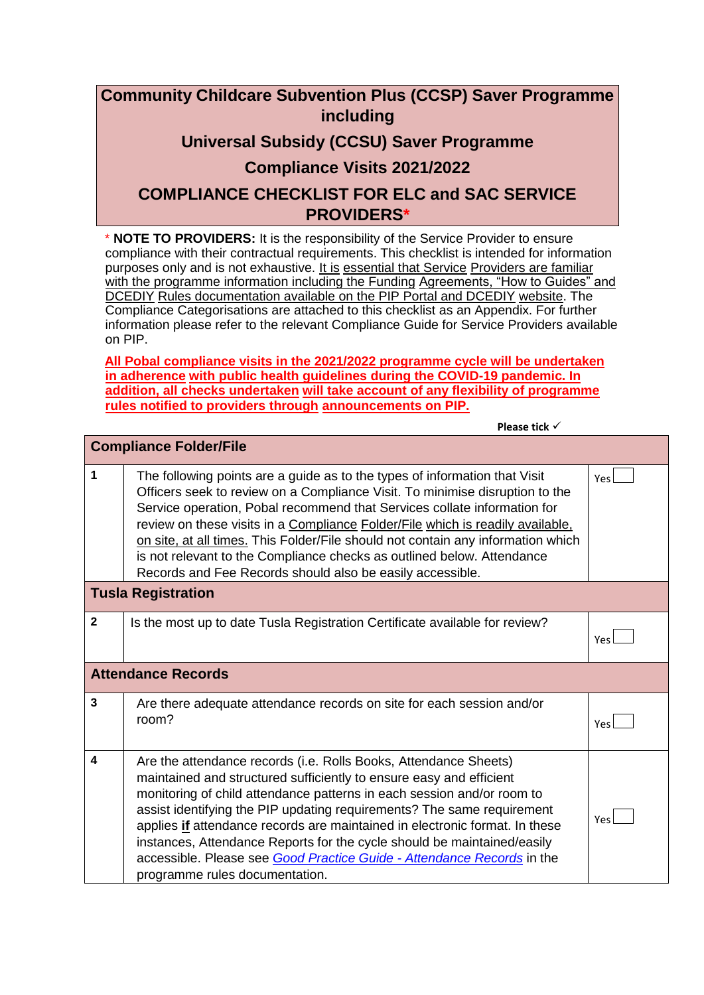## **Community Childcare Subvention Plus (CCSP) Saver Programme including**

## **Universal Subsidy (CCSU) Saver Programme Compliance Visits 2021/2022**

## **COMPLIANCE CHECKLIST FOR ELC and SAC SERVICE PROVIDERS\***

\* **NOTE TO PROVIDERS:** It is the responsibility of the Service Provider to ensure compliance with their contractual requirements. This checklist is intended for information purposes only and is not exhaustive. It is essential that Service Providers are familiar with the programme information including the Funding Agreements, "How to Guides" and DCEDIY Rules documentation available on the PIP Portal and DCEDIY website. The Compliance Categorisations are attached to this checklist as an Appendix. For further information please refer to the relevant Compliance Guide for Service Providers available on PIP.

**All Pobal compliance visits in the 2021/2022 programme cycle will be undertaken in adherence with public health guidelines during the COVID-19 pandemic. In addition, all checks undertaken will take account of any flexibility of programme rules notified to providers through announcements on PIP.**

**Please tick** 

| <b>Compliance Folder/File</b> |                                                                                                                                                                                                                                                                                                                                                                                                                                                                                                                                                                   |      |  |
|-------------------------------|-------------------------------------------------------------------------------------------------------------------------------------------------------------------------------------------------------------------------------------------------------------------------------------------------------------------------------------------------------------------------------------------------------------------------------------------------------------------------------------------------------------------------------------------------------------------|------|--|
| $\mathbf{1}$                  | The following points are a guide as to the types of information that Visit<br>Officers seek to review on a Compliance Visit. To minimise disruption to the<br>Service operation, Pobal recommend that Services collate information for<br>review on these visits in a Compliance Folder/File which is readily available.<br>on site, at all times. This Folder/File should not contain any information which<br>is not relevant to the Compliance checks as outlined below. Attendance<br>Records and Fee Records should also be easily accessible.               | Yesl |  |
| <b>Tusla Registration</b>     |                                                                                                                                                                                                                                                                                                                                                                                                                                                                                                                                                                   |      |  |
| $\overline{2}$                | Is the most up to date Tusla Registration Certificate available for review?                                                                                                                                                                                                                                                                                                                                                                                                                                                                                       | Yes  |  |
| <b>Attendance Records</b>     |                                                                                                                                                                                                                                                                                                                                                                                                                                                                                                                                                                   |      |  |
| 3                             | Are there adequate attendance records on site for each session and/or<br>room?                                                                                                                                                                                                                                                                                                                                                                                                                                                                                    | Yes  |  |
| $\overline{\mathbf{4}}$       | Are the attendance records (i.e. Rolls Books, Attendance Sheets)<br>maintained and structured sufficiently to ensure easy and efficient<br>monitoring of child attendance patterns in each session and/or room to<br>assist identifying the PIP updating requirements? The same requirement<br>applies if attendance records are maintained in electronic format. In these<br>instances, Attendance Reports for the cycle should be maintained/easily<br>accessible. Please see Good Practice Guide - Attendance Records in the<br>programme rules documentation. | Yes  |  |